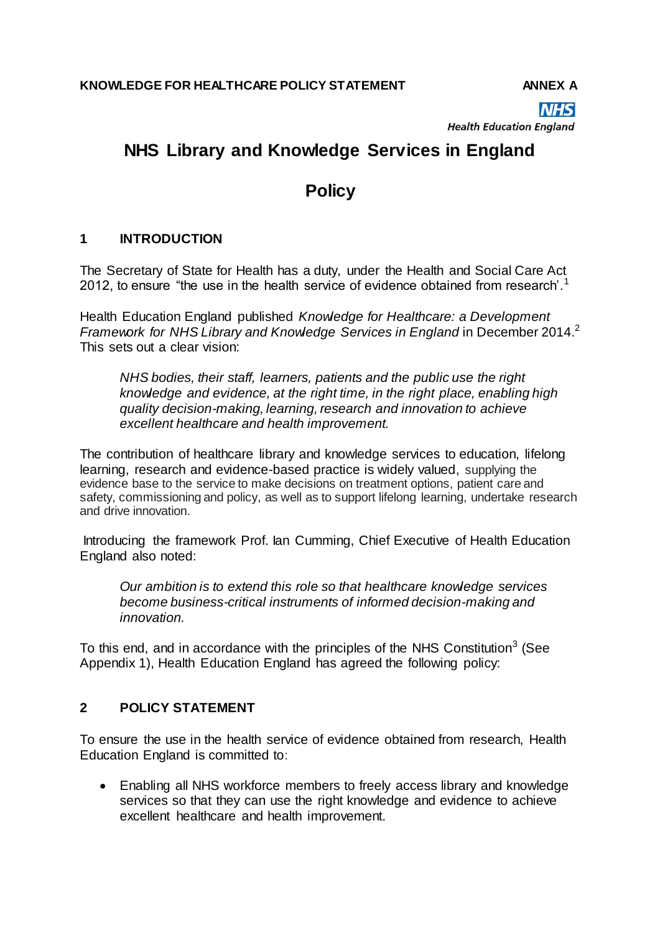**NHS** 

**Health Education England** 

# **NHS Library and Knowledge Services in England**

## **Policy**

### **1 INTRODUCTION**

The Secretary of State for Health has a duty, under the Health and Social Care Act 2012, to ensure "the use in the health service of evidence obtained from research'.<sup>1</sup>

Health Education England published *Knowledge for Healthcare: a Development Framework for NHS Library and Knowledge Services in England* in December 2014.<sup>2</sup> This sets out a clear vision:

*NHS bodies, their staff, learners, patients and the public use the right knowledge and evidence, at the right time, in the right place, enabling high quality decision-making, learning, research and innovation to achieve excellent healthcare and health improvement.*

The contribution of healthcare library and knowledge services to education, lifelong learning, research and evidence-based practice is widely valued, supplying the evidence base to the service to make decisions on treatment options, patient care and safety, commissioning and policy, as well as to support lifelong learning, undertake research and drive innovation.

Introducing the framework Prof. Ian Cumming, Chief Executive of Health Education England also noted:

*Our ambition is to extend this role so that healthcare knowledge services become business-critical instruments of informed decision-making and innovation.*

To this end, and in accordance with the principles of the NHS Constitution<sup>3</sup> (See Appendix 1), Health Education England has agreed the following policy:

#### **2 POLICY STATEMENT**

To ensure the use in the health service of evidence obtained from research, Health Education England is committed to:

 Enabling all NHS workforce members to freely access library and knowledge services so that they can use the right knowledge and evidence to achieve excellent healthcare and health improvement.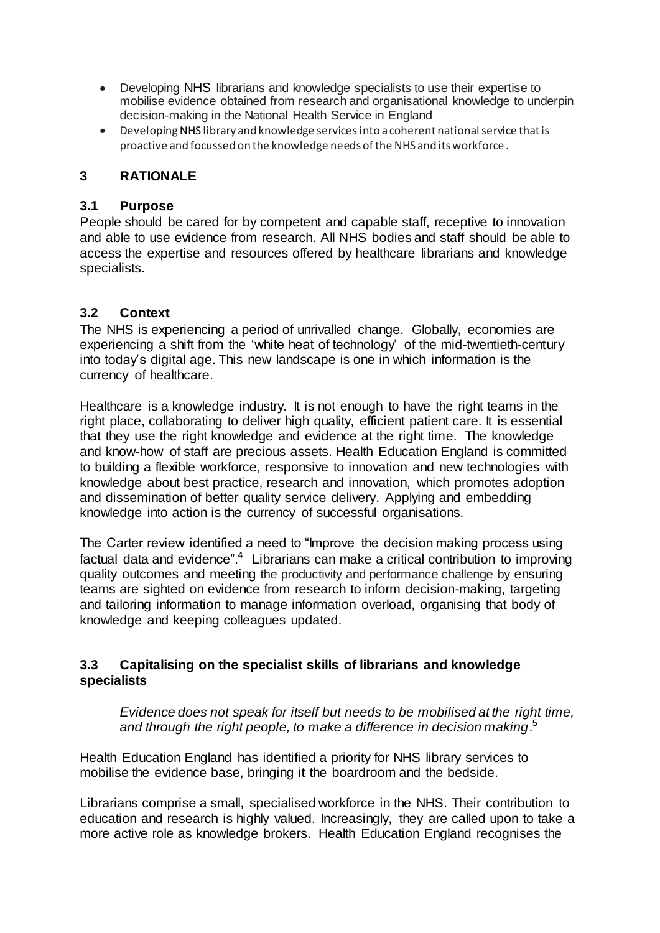- Developing NHS librarians and knowledge specialists to use their expertise to mobilise evidence obtained from research and organisational knowledge to underpin decision-making in the National Health Service in England
- Developing NHS library and knowledge services into a coherent national service that is proactive and focussed on the knowledge needs of the NHS and its workforce .

#### **3 RATIONALE**

#### **3.1 Purpose**

People should be cared for by competent and capable staff, receptive to innovation and able to use evidence from research. All NHS bodies and staff should be able to access the expertise and resources offered by healthcare librarians and knowledge specialists.

#### **3.2 Context**

The NHS is experiencing a period of unrivalled change. Globally, economies are experiencing a shift from the 'white heat of technology' of the mid-twentieth-century into today's digital age. This new landscape is one in which information is the currency of healthcare.

Healthcare is a knowledge industry. It is not enough to have the right teams in the right place, collaborating to deliver high quality, efficient patient care. It is essential that they use the right knowledge and evidence at the right time. The knowledge and know-how of staff are precious assets. Health Education England is committed to building a flexible workforce, responsive to innovation and new technologies with knowledge about best practice, research and innovation, which promotes adoption and dissemination of better quality service delivery. Applying and embedding knowledge into action is the currency of successful organisations.

The Carter review identified a need to "Improve the decision making process using factual data and evidence". $4$  Librarians can make a critical contribution to improving quality outcomes and meeting the productivity and performance challenge by ensuring teams are sighted on evidence from research to inform decision-making, targeting and tailoring information to manage information overload, organising that body of knowledge and keeping colleagues updated.

#### **3.3 Capitalising on the specialist skills of librarians and knowledge specialists**

*Evidence does not speak for itself but needs to be mobilised at the right time, and through the right people, to make a difference in decision making*. 5

Health Education England has identified a priority for NHS library services to mobilise the evidence base, bringing it the boardroom and the bedside.

Librarians comprise a small, specialised workforce in the NHS. Their contribution to education and research is highly valued. Increasingly, they are called upon to take a more active role as knowledge brokers. Health Education England recognises the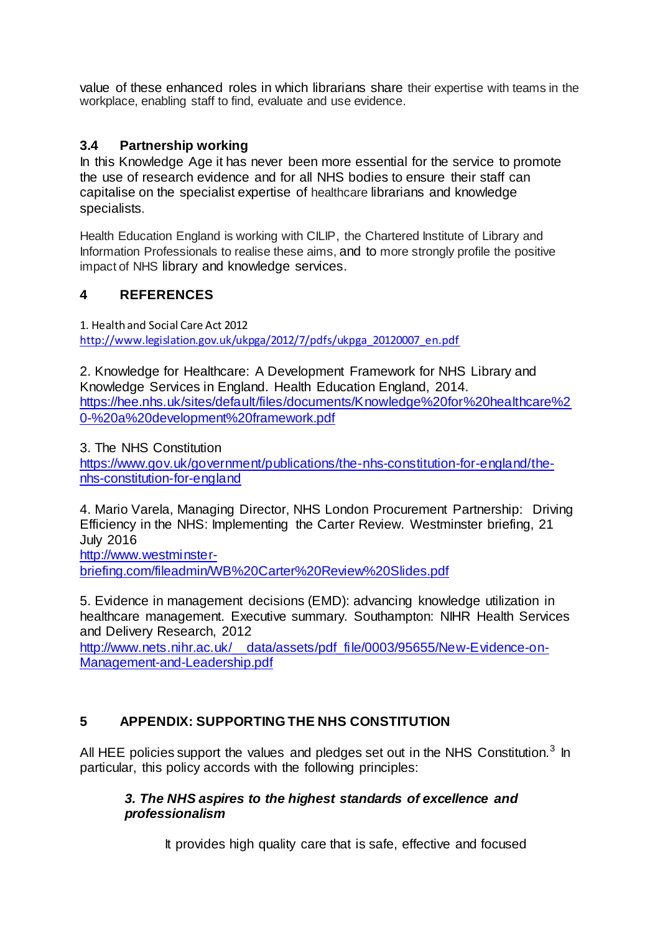value of these enhanced roles in which librarians share their expertise with teams in the workplace, enabling staff to find, evaluate and use evidence.

#### **3.4 Partnership working**

In this Knowledge Age it has never been more essential for the service to promote the use of research evidence and for all NHS bodies to ensure their staff can capitalise on the specialist expertise of healthcare librarians and knowledge specialists.

Health Education England is working with CILIP, the Chartered Institute of Library and Information Professionals to realise these aims, and to more strongly profile the positive impact of NHS library and knowledge services.

#### **4 REFERENCES**

1. Health and Social Care Act 2012 [http://www.legislation.gov.uk/ukpga/2012/7/pdfs/ukpga\\_20120007\\_en.pdf](http://www.legislation.gov.uk/ukpga/2012/7/pdfs/ukpga_20120007_en.pdf)

2. Knowledge for Healthcare: A Development Framework for NHS Library and Knowledge Services in England. Health Education England, 2014. [https://hee.nhs.uk/sites/default/files/documents/Knowledge%20for%20healthcare%2](https://hee.nhs.uk/sites/default/files/documents/Knowledge%20for%20healthcare%20-%20a%20development%20framework.pdf) [0-%20a%20development%20framework.pdf](https://hee.nhs.uk/sites/default/files/documents/Knowledge%20for%20healthcare%20-%20a%20development%20framework.pdf)

3. The NHS Constitution

[https://www.gov.uk/government/publications/the-nhs-constitution-for-england/the](https://www.gov.uk/government/publications/the-nhs-constitution-for-england/the-nhs-constitution-for-england)[nhs-constitution-for-england](https://www.gov.uk/government/publications/the-nhs-constitution-for-england/the-nhs-constitution-for-england)

4. Mario Varela, Managing Director, NHS London Procurement Partnership: Driving Efficiency in the NHS: Implementing the Carter Review. Westminster briefing, 21 July 2016

[http://www.westminster-](http://www.westminster-briefing.com/fileadmin/WB%20Carter%20Review%20Slides.pdf)

[briefing.com/fileadmin/WB%20Carter%20Review%20Slides.pdf](http://www.westminster-briefing.com/fileadmin/WB%20Carter%20Review%20Slides.pdf)

5. Evidence in management decisions (EMD): advancing knowledge utilization in healthcare management. Executive summary. Southampton: NIHR Health Services and Delivery Research, 2012

[http://www.nets.nihr.ac.uk/\\_\\_data/assets/pdf\\_file/0003/95655/New-Evidence-on-](http://www.nets.nihr.ac.uk/__data/assets/pdf_file/0003/95655/New-Evidence-on-Management-and-Leadership.pdf)[Management-and-Leadership.pdf](http://www.nets.nihr.ac.uk/__data/assets/pdf_file/0003/95655/New-Evidence-on-Management-and-Leadership.pdf)

#### **5 APPENDIX: SUPPORTING THE NHS CONSTITUTION**

All HEE policies support the values and pledges set out in the NHS Constitution.<sup>3</sup> In particular, this policy accords with the following principles:

#### *3. The NHS aspires to the highest standards of excellence and professionalism*

It provides high quality care that is safe, effective and focused